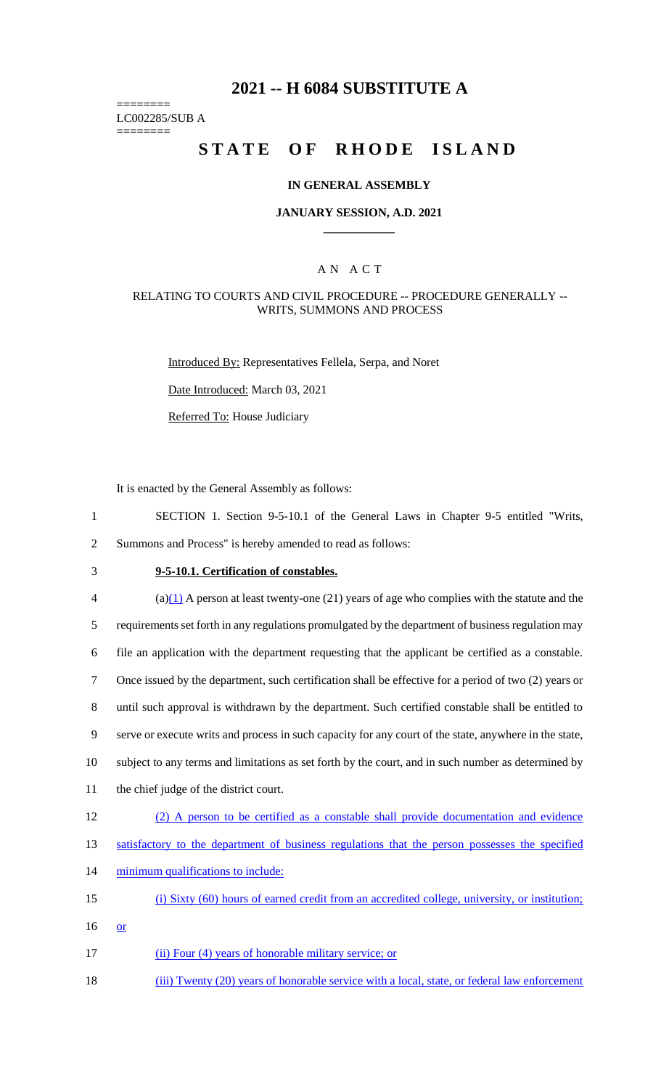## **2021 -- H 6084 SUBSTITUTE A**

======== LC002285/SUB A

========

# **STATE OF RHODE ISLAND**

### **IN GENERAL ASSEMBLY**

### **JANUARY SESSION, A.D. 2021 \_\_\_\_\_\_\_\_\_\_\_\_**

### A N A C T

### RELATING TO COURTS AND CIVIL PROCEDURE -- PROCEDURE GENERALLY -- WRITS, SUMMONS AND PROCESS

Introduced By: Representatives Fellela, Serpa, and Noret

Date Introduced: March 03, 2021

Referred To: House Judiciary

It is enacted by the General Assembly as follows:

- 1 SECTION 1. Section 9-5-10.1 of the General Laws in Chapter 9-5 entitled "Writs, 2 Summons and Process" is hereby amended to read as follows:
- 

## 3 **9-5-10.1. Certification of constables.**

 $\frac{(a)(1)}{2}$  A person at least twenty-one (21) years of age who complies with the statute and the 5 requirements set forth in any regulations promulgated by the department of business regulation may 6 file an application with the department requesting that the applicant be certified as a constable. 7 Once issued by the department, such certification shall be effective for a period of two (2) years or 8 until such approval is withdrawn by the department. Such certified constable shall be entitled to 9 serve or execute writs and process in such capacity for any court of the state, anywhere in the state, 10 subject to any terms and limitations as set forth by the court, and in such number as determined by 11 the chief judge of the district court. 12 (2) A person to be certified as a constable shall provide documentation and evidence 13 satisfactory to the department of business regulations that the person possesses the specified 14 minimum qualifications to include: 15 (i) Sixty (60) hours of earned credit from an accredited college, university, or institution; 16 or 17 (ii) Four (4) years of honorable military service; or

18 (iii) Twenty (20) years of honorable service with a local, state, or federal law enforcement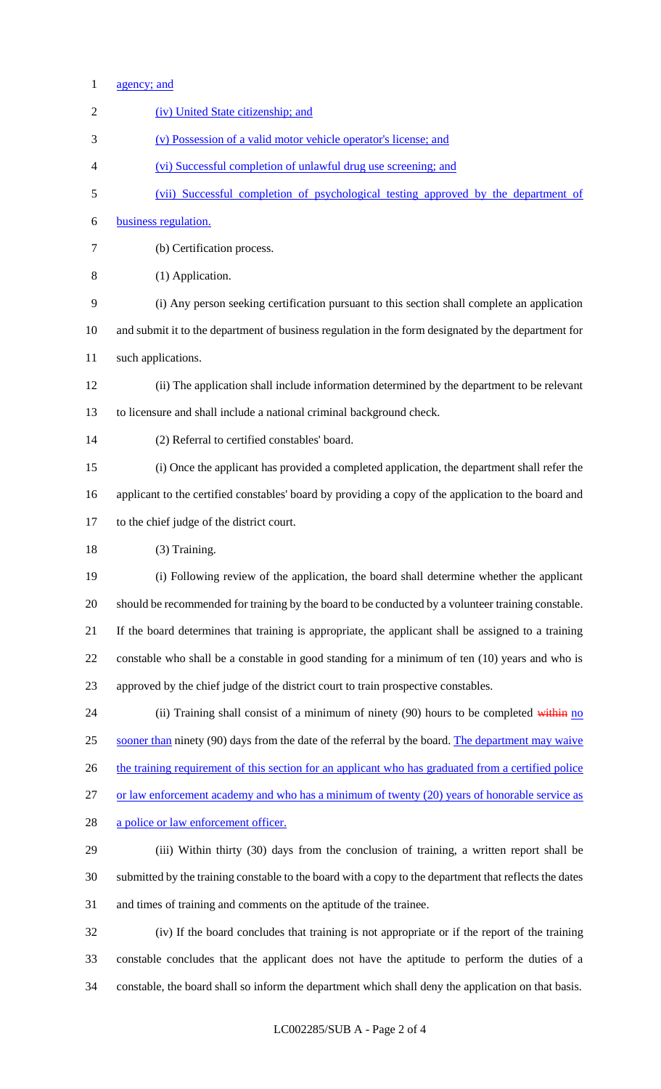| $\mathbf{1}$   | agency; and                                                                                            |
|----------------|--------------------------------------------------------------------------------------------------------|
| $\overline{2}$ | (iv) United State citizenship; and                                                                     |
| 3              | (v) Possession of a valid motor vehicle operator's license; and                                        |
| 4              | (vi) Successful completion of unlawful drug use screening; and                                         |
| 5              | (vii) Successful completion of psychological testing approved by the department of                     |
| 6              | business regulation.                                                                                   |
| 7              | (b) Certification process.                                                                             |
| 8              | (1) Application.                                                                                       |
| 9              | (i) Any person seeking certification pursuant to this section shall complete an application            |
| 10             | and submit it to the department of business regulation in the form designated by the department for    |
| 11             | such applications.                                                                                     |
| 12             | (ii) The application shall include information determined by the department to be relevant             |
| 13             | to licensure and shall include a national criminal background check.                                   |
| 14             | (2) Referral to certified constables' board.                                                           |
| 15             | (i) Once the applicant has provided a completed application, the department shall refer the            |
| 16             | applicant to the certified constables' board by providing a copy of the application to the board and   |
| 17             | to the chief judge of the district court.                                                              |
| 18             | (3) Training.                                                                                          |
| 19             | (i) Following review of the application, the board shall determine whether the applicant               |
| 20             | should be recommended for training by the board to be conducted by a volunteer training constable.     |
| 21             | If the board determines that training is appropriate, the applicant shall be assigned to a training    |
| 22             | constable who shall be a constable in good standing for a minimum of ten (10) years and who is         |
| 23             | approved by the chief judge of the district court to train prospective constables.                     |
| 24             | (ii) Training shall consist of a minimum of ninety $(90)$ hours to be completed within no              |
| 25             | sooner than ninety (90) days from the date of the referral by the board. The department may waive      |
| 26             | the training requirement of this section for an applicant who has graduated from a certified police    |
| 27             | or law enforcement academy and who has a minimum of twenty (20) years of honorable service as          |
| 28             | a police or law enforcement officer.                                                                   |
| 29             | (iii) Within thirty (30) days from the conclusion of training, a written report shall be               |
| 30             | submitted by the training constable to the board with a copy to the department that reflects the dates |
| 31             | and times of training and comments on the aptitude of the trainee.                                     |
| 32             | (iv) If the board concludes that training is not appropriate or if the report of the training          |
| 33             | constable concludes that the applicant does not have the aptitude to perform the duties of a           |
| 34             | constable, the board shall so inform the department which shall deny the application on that basis.    |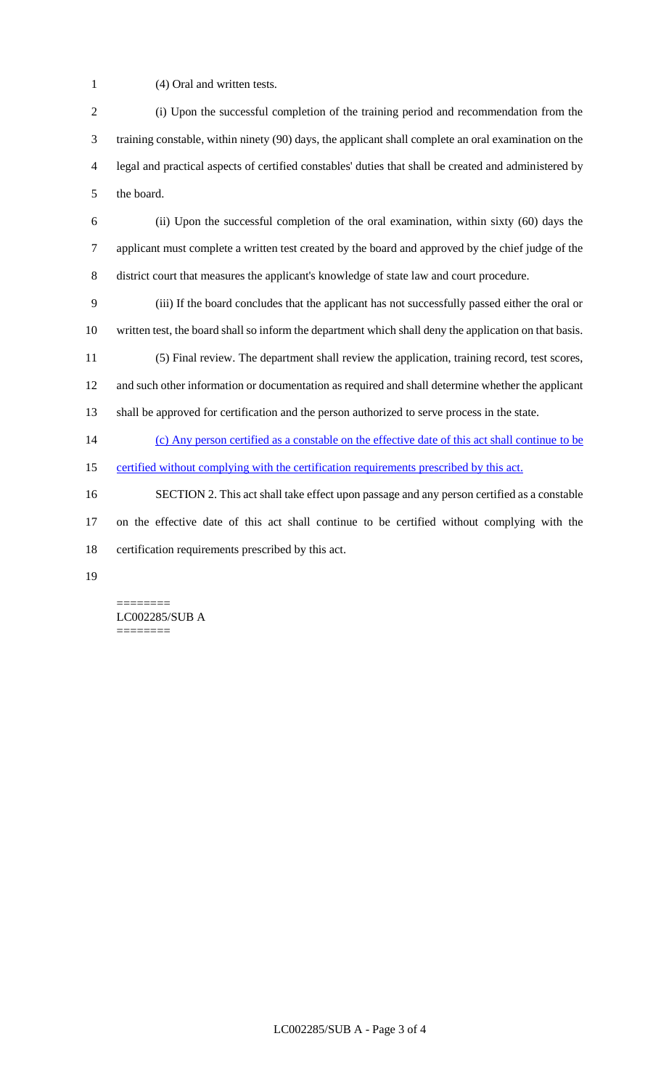- (4) Oral and written tests.
- (i) Upon the successful completion of the training period and recommendation from the training constable, within ninety (90) days, the applicant shall complete an oral examination on the legal and practical aspects of certified constables' duties that shall be created and administered by the board.
- (ii) Upon the successful completion of the oral examination, within sixty (60) days the applicant must complete a written test created by the board and approved by the chief judge of the district court that measures the applicant's knowledge of state law and court procedure.
- (iii) If the board concludes that the applicant has not successfully passed either the oral or written test, the board shall so inform the department which shall deny the application on that basis.
- (5) Final review. The department shall review the application, training record, test scores, and such other information or documentation as required and shall determine whether the applicant
- shall be approved for certification and the person authorized to serve process in the state.
- (c) Any person certified as a constable on the effective date of this act shall continue to be
- certified without complying with the certification requirements prescribed by this act.
- SECTION 2. This act shall take effect upon passage and any person certified as a constable on the effective date of this act shall continue to be certified without complying with the certification requirements prescribed by this act.
- 

======== LC002285/SUB A ========